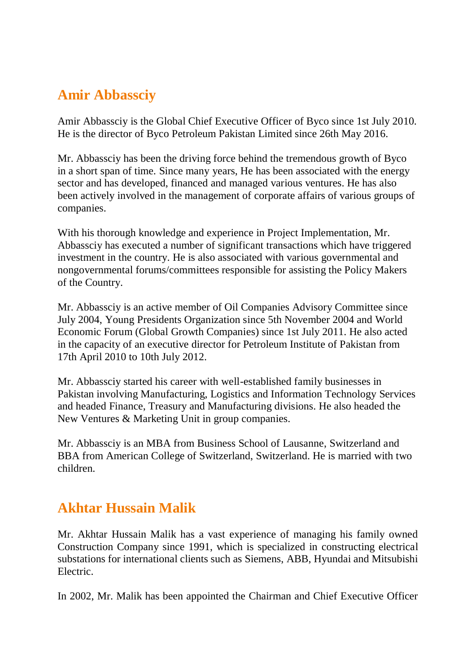#### **Amir Abbassciy**

Amir Abbassciy is the Global Chief Executive Officer of Byco since 1st July 2010. He is the director of Byco Petroleum Pakistan Limited since 26th May 2016.

Mr. Abbassciy has been the driving force behind the tremendous growth of Byco in a short span of time. Since many years, He has been associated with the energy sector and has developed, financed and managed various ventures. He has also been actively involved in the management of corporate affairs of various groups of companies.

With his thorough knowledge and experience in Project Implementation, Mr. Abbassciy has executed a number of significant transactions which have triggered investment in the country. He is also associated with various governmental and nongovernmental forums/committees responsible for assisting the Policy Makers of the Country.

Mr. Abbassciy is an active member of Oil Companies Advisory Committee since July 2004, Young Presidents Organization since 5th November 2004 and World Economic Forum (Global Growth Companies) since 1st July 2011. He also acted in the capacity of an executive director for Petroleum Institute of Pakistan from 17th April 2010 to 10th July 2012.

Mr. Abbassciy started his career with well-established family businesses in Pakistan involving Manufacturing, Logistics and Information Technology Services and headed Finance, Treasury and Manufacturing divisions. He also headed the New Ventures & Marketing Unit in group companies.

Mr. Abbassciy is an MBA from Business School of Lausanne, Switzerland and BBA from American College of Switzerland, Switzerland. He is married with two children.

### **Akhtar Hussain Malik**

Mr. Akhtar Hussain Malik has a vast experience of managing his family owned Construction Company since 1991, which is specialized in constructing electrical substations for international clients such as Siemens, ABB, Hyundai and Mitsubishi Electric.

In 2002, Mr. Malik has been appointed the Chairman and Chief Executive Officer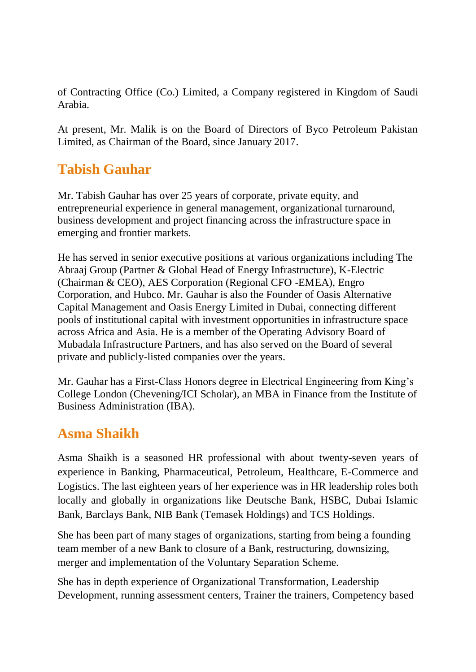of Contracting Office (Co.) Limited, a Company registered in Kingdom of Saudi Arabia.

At present, Mr. Malik is on the Board of Directors of Byco Petroleum Pakistan Limited, as Chairman of the Board, since January 2017.

# **Tabish Gauhar**

Mr. Tabish Gauhar has over 25 years of corporate, private equity, and entrepreneurial experience in general management, organizational turnaround, business development and project financing across the infrastructure space in emerging and frontier markets.

He has served in senior executive positions at various organizations including The Abraaj Group (Partner & Global Head of Energy Infrastructure), K-Electric (Chairman & CEO), AES Corporation (Regional CFO -EMEA), Engro Corporation, and Hubco. Mr. Gauhar is also the Founder of Oasis Alternative Capital Management and Oasis Energy Limited in Dubai, connecting different pools of institutional capital with investment opportunities in infrastructure space across Africa and Asia. He is a member of the Operating Advisory Board of Mubadala Infrastructure Partners, and has also served on the Board of several private and publicly-listed companies over the years.

Mr. Gauhar has a First-Class Honors degree in Electrical Engineering from King's College London (Chevening/ICI Scholar), an MBA in Finance from the Institute of Business Administration (IBA).

### **Asma Shaikh**

Asma Shaikh is a seasoned HR professional with about twenty-seven years of experience in Banking, Pharmaceutical, Petroleum, Healthcare, E-Commerce and Logistics. The last eighteen years of her experience was in HR leadership roles both locally and globally in organizations like Deutsche Bank, HSBC, Dubai Islamic Bank, Barclays Bank, NIB Bank (Temasek Holdings) and TCS Holdings.

She has been part of many stages of organizations, starting from being a founding team member of a new Bank to closure of a Bank, restructuring, downsizing, merger and implementation of the Voluntary Separation Scheme.

She has in depth experience of Organizational Transformation, Leadership Development, running assessment centers, Trainer the trainers, Competency based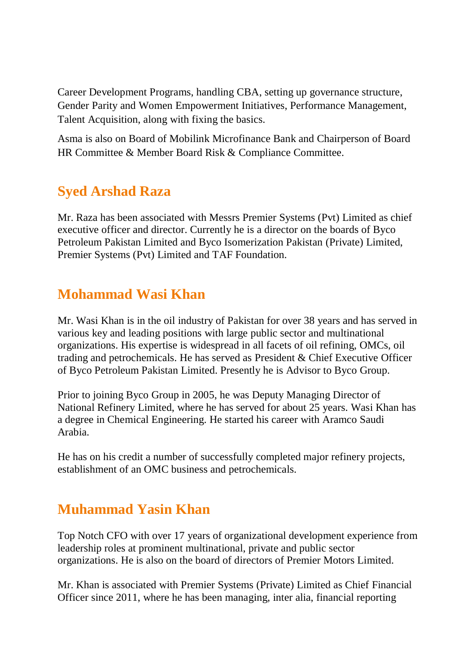Career Development Programs, handling CBA, setting up governance structure, Gender Parity and Women Empowerment Initiatives, Performance Management, Talent Acquisition, along with fixing the basics.

Asma is also on Board of Mobilink Microfinance Bank and Chairperson of Board HR Committee & Member Board Risk & Compliance Committee.

### **Syed Arshad Raza**

Mr. Raza has been associated with Messrs Premier Systems (Pvt) Limited as chief executive officer and director. Currently he is a director on the boards of Byco Petroleum Pakistan Limited and Byco Isomerization Pakistan (Private) Limited, Premier Systems (Pvt) Limited and TAF Foundation.

### **Mohammad Wasi Khan**

Mr. Wasi Khan is in the oil industry of Pakistan for over 38 years and has served in various key and leading positions with large public sector and multinational organizations. His expertise is widespread in all facets of oil refining, OMCs, oil trading and petrochemicals. He has served as President & Chief Executive Officer of Byco Petroleum Pakistan Limited. Presently he is Advisor to Byco Group.

Prior to joining Byco Group in 2005, he was Deputy Managing Director of National Refinery Limited, where he has served for about 25 years. Wasi Khan has a degree in Chemical Engineering. He started his career with Aramco Saudi Arabia.

He has on his credit a number of successfully completed major refinery projects, establishment of an OMC business and petrochemicals.

# **Muhammad Yasin Khan**

Top Notch CFO with over 17 years of organizational development experience from leadership roles at prominent multinational, private and public sector organizations. He is also on the board of directors of Premier Motors Limited.

Mr. Khan is associated with Premier Systems (Private) Limited as Chief Financial Officer since 2011, where he has been managing, inter alia, financial reporting